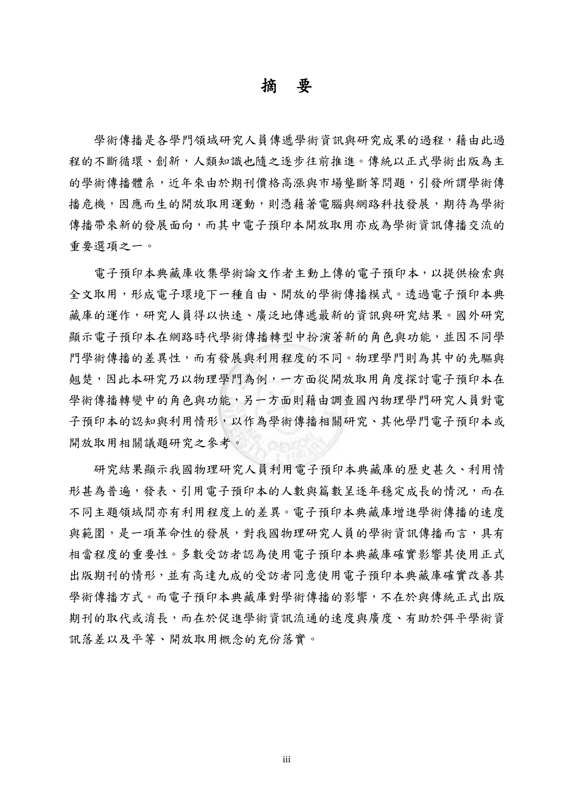## 摘 要

學術傳播是各學門領域研究人員傳遞學術資訊與研究成果的過程,藉由此過 程的不斷循環、創新,人類知識也隨之逐步往前推進。傳統以正式學術出版為主 的學術傳播體系,近年來由於期刊價格高漲與市場壟斷等問題,引發所謂學術傳 播危機,因應而生的開放取用運動,則憑藉著電腦與網路科技發展,期待為學術 傳播帶來新的發展面向,而其中電子預印本開放取用亦成為學術資訊傳播交流的 重要選項之一。

電子預印本典藏庫收集學術論文作者主動上傳的電子預印本,以提供檢索與 全文取用,形成電子環境下一種自由、開放的學術傳播模式。透過電子預印本典 藏庫的運作,研究人員得以快速、廣泛地傳遞最新的資訊與研究結果。國外研究 顯示電子預印本在網路時代學術傳播轉型中扮演著新的角色與功能,並因不同學 門學術傳播的差異性,而有發展與利用程度的不同。物理學門則為其中的先驅與 翹楚,因此本研究乃以物理學門為例,一方面從開放取用角度探討電子預印本在 學術傳播轉變中的角色與功能,另一方面則藉由調查國內物理學門研究人員對電 子預印本的認知與利用情形,以作為學術傳播相關研究、其他學門電子預印本或 開放取用相關議題研究之參考。

研究結果顯示我國物理研究人員利用電子預印本典藏庫的歷史甚久、利用情 形甚為普遍,發表、引用電子預印本的人數與篇數呈逐年穩定成長的情況,而在 不同主題領域間亦有利用程度上的差異。電子預印本典藏庫增進學術傳播的速度 與範圍,是一項革命性的發展,對我國物理研究人員的學術資訊傳播而言,具有 相當程度的重要性。多數受訪者認為使用電子預印本典藏庫確實影響其使用正式 出版期刊的情形,並有高達九成的受訪者同意使用電子預印本典藏庫確實改善其 學術傳播方式。而電子預印本典藏庫對學術傳播的影響,不在於與傳統正式出版 期刊的取代或消長,而在於促進學術資訊流通的速度與廣度、有助於弭平學術資 訊落差以及平等、開放取用概念的充份落實。